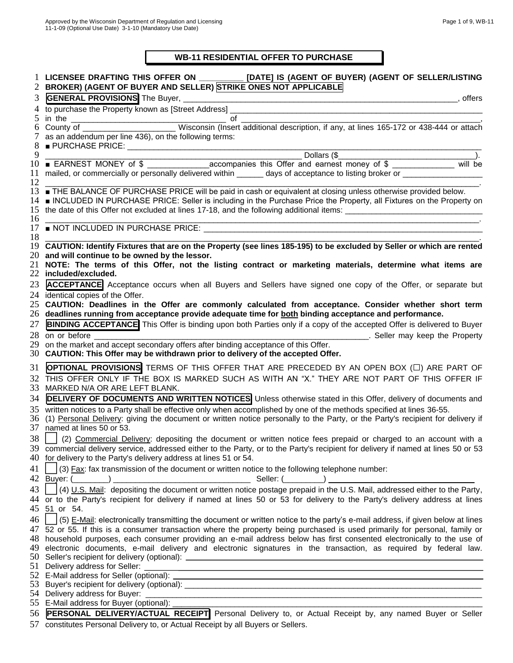## **WB-11 RESIDENTIAL OFFER TO PURCHASE**

| 2        | LICENSEE DRAFTING THIS OFFER ON ___________ [DATE] IS (AGENT OF BUYER) (AGENT OF SELLER/LISTING<br>BROKER) (AGENT OF BUYER AND SELLER) STRIKE ONES NOT APPLICABLE                                                                                                |
|----------|------------------------------------------------------------------------------------------------------------------------------------------------------------------------------------------------------------------------------------------------------------------|
| 3        |                                                                                                                                                                                                                                                                  |
| 4        |                                                                                                                                                                                                                                                                  |
| 5        |                                                                                                                                                                                                                                                                  |
| 6        |                                                                                                                                                                                                                                                                  |
| 7        | as an addendum per line 436), on the following terms:                                                                                                                                                                                                            |
|          |                                                                                                                                                                                                                                                                  |
| 9        | Dollars (\$                                                                                                                                                                                                                                                      |
| 10       |                                                                                                                                                                                                                                                                  |
| 11       | mailed, or commercially or personally delivered within ______ days of acceptance to listing broker or _____________                                                                                                                                              |
| 12       |                                                                                                                                                                                                                                                                  |
| 13<br>14 | <b>THE BALANCE OF PURCHASE PRICE will be paid in cash or equivalent at closing unless otherwise provided below.</b><br>INCLUDED IN PURCHASE PRICE: Seller is including in the Purchase Price the Property, all Fixtures on the Property on                       |
| 15       |                                                                                                                                                                                                                                                                  |
| 16       |                                                                                                                                                                                                                                                                  |
| 17       | <u> Andreas Andreas Andreas Andreas Andreas Andreas Andreas Andreas Andreas Andreas Andreas Andreas Andreas Andreas Andreas Andreas Andreas Andreas Andreas Andreas Andreas Andreas Andreas Andreas Andreas Andreas Andreas Andr</u>                             |
| 18       |                                                                                                                                                                                                                                                                  |
| 19       | CAUTION: Identify Fixtures that are on the Property (see lines 185-195) to be excluded by Seller or which are rented                                                                                                                                             |
|          | 20 and will continue to be owned by the lessor.                                                                                                                                                                                                                  |
| 21       | NOTE: The terms of this Offer, not the listing contract or marketing materials, determine what items are                                                                                                                                                         |
| 22       | included/excluded.                                                                                                                                                                                                                                               |
| 23       | <b>ACCEPTANCE</b> Acceptance occurs when all Buyers and Sellers have signed one copy of the Offer, or separate but                                                                                                                                               |
| 24       | identical copies of the Offer.                                                                                                                                                                                                                                   |
| 25       | CAUTION: Deadlines in the Offer are commonly calculated from acceptance. Consider whether short term                                                                                                                                                             |
|          | 26 deadlines running from acceptance provide adequate time for both binding acceptance and performance.                                                                                                                                                          |
| 27       | <b>BINDING ACCEPTANCE</b> This Offer is binding upon both Parties only if a copy of the accepted Offer is delivered to Buyer                                                                                                                                     |
| 28       | Seller may keep the Property<br>on or before                                                                                                                                                                                                                     |
| 29       | on the market and accept secondary offers after binding acceptance of this Offer.                                                                                                                                                                                |
| 30-      | CAUTION: This Offer may be withdrawn prior to delivery of the accepted Offer.                                                                                                                                                                                    |
| 31       | OPTIONAL PROVISIONS TERMS OF THIS OFFER THAT ARE PRECEDED BY AN OPEN BOX (C) ARE PART OF                                                                                                                                                                         |
| 32       | THIS OFFER ONLY IF THE BOX IS MARKED SUCH AS WITH AN "X." THEY ARE NOT PART OF THIS OFFER IF                                                                                                                                                                     |
| 33       | MARKED N/A OR ARE LEFT BLANK.                                                                                                                                                                                                                                    |
| 34       | <b>DELIVERY OF DOCUMENTS AND WRITTEN NOTICES</b> Unless otherwise stated in this Offer, delivery of documents and                                                                                                                                                |
| 35       | written notices to a Party shall be effective only when accomplished by one of the methods specified at lines 36-55.                                                                                                                                             |
| 36       | (1) Personal Delivery: giving the document or written notice personally to the Party, or the Party's recipient for delivery if                                                                                                                                   |
| 37       | named at lines 50 or 53.                                                                                                                                                                                                                                         |
| 38       | (2) Commercial Delivery: depositing the document or written notice fees prepaid or charged to an account with a                                                                                                                                                  |
|          | 39 commercial delivery service, addressed either to the Party, or to the Party's recipient for delivery if named at lines 50 or 53                                                                                                                               |
|          | 40 for delivery to the Party's delivery address at lines 51 or 54.                                                                                                                                                                                               |
| 41       | (3) Fax: fax transmission of the document or written notice to the following telephone number:                                                                                                                                                                   |
|          |                                                                                                                                                                                                                                                                  |
|          |                                                                                                                                                                                                                                                                  |
| 43       | (4) U.S. Mail: depositing the document or written notice postage prepaid in the U.S. Mail, addressed either to the Party,                                                                                                                                        |
| 45       | 44 or to the Party's recipient for delivery if named at lines 50 or 53 for delivery to the Party's delivery address at lines<br>51 or 54.                                                                                                                        |
|          |                                                                                                                                                                                                                                                                  |
| 46       | (5) E-Mail: electronically transmitting the document or written notice to the party's e-mail address, if given below at lines                                                                                                                                    |
| 47       | $\overline{52}$ or 55. If this is a consumer transaction where the property being purchased is used primarily for personal, family or<br>48 household purposes, each consumer providing an e-mail address below has first consented electronically to the use of |
|          | 49 electronic documents, e-mail delivery and electronic signatures in the transaction, as required by federal law.                                                                                                                                               |
|          |                                                                                                                                                                                                                                                                  |
|          | 51 Delivery address for Seller:<br><u> 1980 - Johann Stoff, deutscher Stoffen und der Stoffen und der Stoffen und der Stoffen und der Stoffen und de</u>                                                                                                         |
|          | 52 E-Mail address for Seller (optional):                                                                                                                                                                                                                         |
|          |                                                                                                                                                                                                                                                                  |
|          | 54 Delivery address for Buyer: ______                                                                                                                                                                                                                            |
|          | 55 E-Mail address for Buyer (optional):                                                                                                                                                                                                                          |
| 56       | PERSONAL DELIVERY/ACTUAL RECEIPT Personal Delivery to, or Actual Receipt by, any named Buyer or Seller                                                                                                                                                           |
| 57       | constitutes Personal Delivery to, or Actual Receipt by all Buyers or Sellers.                                                                                                                                                                                    |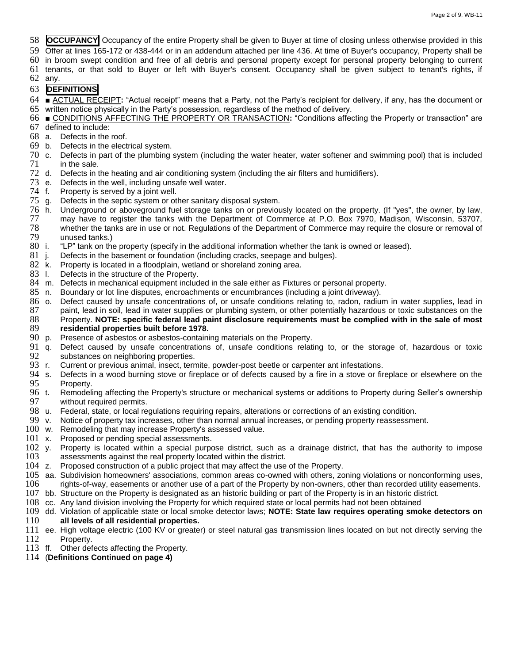**OCCUPANCY** Occupancy of the entire Property shall be given to Buyer at time of closing unless otherwise provided in this

Offer at lines 165-172 or 438-444 or in an addendum attached per line 436. At time of Buyer's occupancy, Property shall be

in broom swept condition and free of all debris and personal property except for personal property belonging to current

tenants, or that sold to Buyer or left with Buyer's consent. Occupancy shall be given subject to tenant's rights, if

any.

## **DEFINITIONS**

- ACTUAL RECEIPT**:** "Actual receipt" means that a Party, not the Party's recipient for delivery, if any, has the document or written notice physically in the Party's possession, regardless of the method of delivery.
- **■** CONDITIONS AFFECTING THE PROPERTY OR TRANSACTION**:** "Conditions affecting the Property or transaction" are defined to include:
- a. Defects in the roof.
- b. Defects in the electrical system.
- c. Defects in part of the plumbing system (including the water heater, water softener and swimming pool) that is included in the sale.
- d. Defects in the heating and air conditioning system (including the air filters and humidifiers).
- e. Defects in the well, including unsafe well water.
- f. Property is served by a joint well.
- g. Defects in the septic system or other sanitary disposal system.
- h. Underground or aboveground fuel storage tanks on or previously located on the property. (If "yes", the owner, by law, may have to register the tanks with the Department of Commerce at P.O. Box 7970, Madison, Wisconsin, 53707, 78 whether the tanks are in use or not. Regulations of the Department of Commerce may require the closure or removal of<br>79 unused tanks)
- 79 unused tanks.)<br>80 i. "LP" tank on the "LP" tank on the property (specify in the additional information whether the tank is owned or leased).
- 81 j. Defects in the basement or foundation (including cracks, seepage and bulges).<br>82 k. Property is located in a floodplain, wetland or shoreland zoning area.
- Property is located in a floodplain, wetland or shoreland zoning area.
- 83 I. Defects in the structure of the Property.
- 
- 84 m. Defects in mechanical equipment included in the sale either as Fixtures or personal property.<br>85 n. Boundary or lot line disputes, encroachments or encumbrances (including a joint driveway). Boundary or lot line disputes, encroachments or encumbrances (including a joint driveway).
- 86 o. Defect caused by unsafe concentrations of, or unsafe conditions relating to, radon, radium in water supplies, lead in<br>87 paint, lead in soil, lead in water supplies or plumbing system, or other potentially hazardous 87 paint, lead in soil, lead in water supplies or plumbing system, or other potentially hazardous or toxic substances on the sale of most 88 property. NOTE: specific federal lead paint disclosure requirements must be compl Property. **NOTE: specific federal lead paint disclosure requirements must be complied with in the sale of most**
- **residential properties built before 1978.** p. Presence of asbestos or asbestos-containing materials on the Property.
- q. Defect caused by unsafe concentrations of, unsafe conditions relating to, or the storage of, hazardous or toxic
- 92 substances on neighboring properties.<br>93 r. Current or previous animal, insect, tern
- 93 r. Current or previous animal, insect, termite, powder-post beetle or carpenter ant infestations.<br>94 s. Defects in a wood burning stove or fireplace or of defects caused by a fire in a stove or fir 94 s. Defects in a wood burning stove or fireplace or of defects caused by a fire in a stove or fireplace or elsewhere on the 95 Property. 95 Property.<br>96 t. Remodeli
- Remodeling affecting the Property's structure or mechanical systems or additions to Property during Seller's ownership 97 without required permits.<br>98 u. Federal, state, or local re
- u. Federal, state, or local regulations requiring repairs, alterations or corrections of an existing condition.
- Notice of property tax increases, other than normal annual increases, or pending property reassessment.
- w. Remodeling that may increase Property's assessed value.
- x. Proposed or pending special assessments.
- y. Property is located within a special purpose district, such as a drainage district, that has the authority to impose assessments against the real property located within the district.
- z. Proposed construction of a public project that may affect the use of the Property.
- aa. Subdivision homeowners' associations, common areas co-owned with others, zoning violations or nonconforming uses, rights-of-way, easements or another use of a part of the Property by non-owners, other than recorded utility easements.
- bb. Structure on the Property is designated as an historic building or part of the Property is in an historic district.
- cc. Any land division involving the Property for which required state or local permits had not been obtained
- dd. Violation of applicable state or local smoke detector laws; **NOTE: State law requires operating smoke detectors on all levels of all residential properties.**
- ee. High voltage electric (100 KV or greater) or steel natural gas transmission lines located on but not directly serving the Property.
- ff. Other defects affecting the Property.
- (**Definitions Continued on page 4)**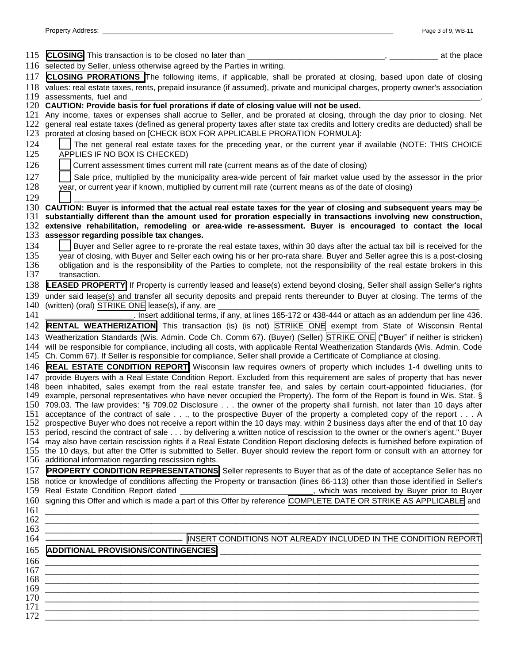| 115        | CLOSING This transaction is to be closed no later than _____<br>at the place                                                                                                                                                                                           |
|------------|------------------------------------------------------------------------------------------------------------------------------------------------------------------------------------------------------------------------------------------------------------------------|
| 116        | selected by Seller, unless otherwise agreed by the Parties in writing.                                                                                                                                                                                                 |
| 117        | CLOSING PRORATIONS The following items, if applicable, shall be prorated at closing, based upon date of closing                                                                                                                                                        |
| 118        | values: real estate taxes, rents, prepaid insurance (if assumed), private and municipal charges, property owner's association                                                                                                                                          |
| 119        | assessments, fuel and                                                                                                                                                                                                                                                  |
| 120        | CAUTION: Provide basis for fuel prorations if date of closing value will not be used.                                                                                                                                                                                  |
| 121<br>122 | Any income, taxes or expenses shall accrue to Seller, and be prorated at closing, through the day prior to closing. Net<br>general real estate taxes (defined as general property taxes after state tax credits and lottery credits are deducted) shall be             |
| 123        | prorated at closing based on [CHECK BOX FOR APPLICABLE PRORATION FORMULA]:                                                                                                                                                                                             |
| 124        | The net general real estate taxes for the preceding year, or the current year if available (NOTE: THIS CHOICE                                                                                                                                                          |
| 125        | APPLIES IF NO BOX IS CHECKED)                                                                                                                                                                                                                                          |
| 126        | Current assessment times current mill rate (current means as of the date of closing)                                                                                                                                                                                   |
| 127        | Sale price, multiplied by the municipality area-wide percent of fair market value used by the assessor in the prior                                                                                                                                                    |
| 128        | year, or current year if known, multiplied by current mill rate (current means as of the date of closing)                                                                                                                                                              |
| 129        |                                                                                                                                                                                                                                                                        |
|            | 130 CAUTION: Buyer is informed that the actual real estate taxes for the year of closing and subsequent years may be                                                                                                                                                   |
| 131        | substantially different than the amount used for proration especially in transactions involving new construction,                                                                                                                                                      |
| 132        | extensive rehabilitation, remodeling or area-wide re-assessment. Buyer is encouraged to contact the local                                                                                                                                                              |
| 133        | assessor regarding possible tax changes.                                                                                                                                                                                                                               |
| 134        | Buyer and Seller agree to re-prorate the real estate taxes, within 30 days after the actual tax bill is received for the                                                                                                                                               |
| 135<br>136 | year of closing, with Buyer and Seller each owing his or her pro-rata share. Buyer and Seller agree this is a post-closing<br>obligation and is the responsibility of the Parties to complete, not the responsibility of the real estate brokers in this               |
| 137        | transaction.                                                                                                                                                                                                                                                           |
| 138        | LEASED PROPERTY If Property is currently leased and lease(s) extend beyond closing, Seller shall assign Seller's rights                                                                                                                                                |
| 139        | under said lease(s) and transfer all security deposits and prepaid rents thereunder to Buyer at closing. The terms of the                                                                                                                                              |
| 140        | (written) (oral) STRIKE ONE lease(s), if any, are                                                                                                                                                                                                                      |
| 141        | . Insert additional terms, if any, at lines 165-172 or 438-444 or attach as an addendum per line 436.                                                                                                                                                                  |
| 142        | <b>RENTAL WEATHERIZATION</b> This transaction (is) (is not) STRIKE ONE exempt from State of Wisconsin Rental                                                                                                                                                           |
| 143        | Weatherization Standards (Wis. Admin. Code Ch. Comm 67). (Buyer) (Seller) STRIKE ONE ("Buyer" if neither is stricken)                                                                                                                                                  |
| 144<br>145 | will be responsible for compliance, including all costs, with applicable Rental Weatherization Standards (Wis. Admin. Code<br>Ch. Comm 67). If Seller is responsible for compliance, Seller shall provide a Certificate of Compliance at closing.                      |
| 146        | <b>REAL ESTATE CONDITION REPORT</b> Wisconsin law requires owners of property which includes 1-4 dwelling units to                                                                                                                                                     |
| 147        | provide Buyers with a Real Estate Condition Report. Excluded from this requirement are sales of property that has never                                                                                                                                                |
| 148<br>149 | been inhabited, sales exempt from the real estate transfer fee, and sales by certain court-appointed fiduciaries, (for<br>example, personal representatives who have never occupied the Property). The form of the Report is found in Wis. Stat. §                     |
|            | 150 709.03. The law provides: "§ 709.02 Disclosure the owner of the property shall furnish, not later than 10 days after                                                                                                                                               |
|            | 151 acceptance of the contract of sale, to the prospective Buyer of the property a completed copy of the report A                                                                                                                                                      |
|            | 152 prospective Buyer who does not receive a report within the 10 days may, within 2 business days after the end of that 10 day                                                                                                                                        |
|            | 153 period, rescind the contract of sale by delivering a written notice of rescission to the owner or the owner's agent." Buyer                                                                                                                                        |
|            | 154 may also have certain rescission rights if a Real Estate Condition Report disclosing defects is furnished before expiration of<br>155 the 10 days, but after the Offer is submitted to Seller. Buyer should review the report form or consult with an attorney for |
|            | 156 additional information regarding rescission rights.                                                                                                                                                                                                                |
| 157        | <b>PROPERTY CONDITION REPRESENTATIONS</b> Seller represents to Buyer that as of the date of acceptance Seller has no                                                                                                                                                   |
|            | 158 notice or knowledge of conditions affecting the Property or transaction (lines 66-113) other than those identified in Seller's                                                                                                                                     |
|            | 159 Real Estate Condition Report dated                                                                                                                                                                                                                                 |
|            | 160 signing this Offer and which is made a part of this Offer by reference COMPLETE DATE OR STRIKE AS APPLICABLE and                                                                                                                                                   |
| 161        |                                                                                                                                                                                                                                                                        |
| 162<br>163 | <u> 1989 - Johann Barn, mars ann an t-Amhain an t-Amhain an t-Amhain an t-Amhain an t-Amhain an t-Amhain an t-Amh</u>                                                                                                                                                  |
| 164        | INSERT CONDITIONS NOT ALREADY INCLUDED IN THE CONDITION REPORT                                                                                                                                                                                                         |
| 165        | <b>ADDITIONAL PROVISIONS/CONTINGENCIES</b>                                                                                                                                                                                                                             |
| 166        |                                                                                                                                                                                                                                                                        |
| 167        | <u> 1989 - Jan James James, Amerikaansk politiker (d. 1989)</u>                                                                                                                                                                                                        |
| 168        | ,我们也不会有一个人的事情。""我们的人,我们也不会有一个人的人,我们也不会有一个人的人,我们也不会有一个人的人,我们也不会有一个人的人,我们也不会有一个人的人,                                                                                                                                                                                      |
| 169        |                                                                                                                                                                                                                                                                        |
| 170<br>171 | and the control of the control of the control of the control of the control of the control of the control of the                                                                                                                                                       |
| 172        |                                                                                                                                                                                                                                                                        |
|            |                                                                                                                                                                                                                                                                        |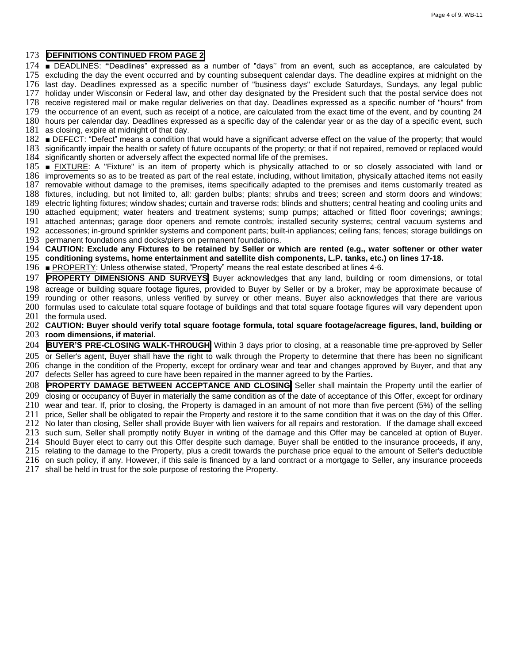## **DEFINITIONS CONTINUED FROM PAGE 2**

 **■** DEADLINES: **"**Deadlines" expressed as a number of "days'' from an event, such as acceptance, are calculated by excluding the day the event occurred and by counting subsequent calendar days. The deadline expires at midnight on the last day. Deadlines expressed as a specific number of "business days" exclude Saturdays, Sundays, any legal public holiday under Wisconsin or Federal law, and other day designated by the President such that the postal service does not receive registered mail or make regular deliveries on that day. Deadlines expressed as a specific number of "hours" from the occurrence of an event, such as receipt of a notice, are calculated from the exact time of the event, and by counting 24 hours per calendar day. Deadlines expressed as a specific day of the calendar year or as the day of a specific event, such as closing, expire at midnight of that day. **■** DEFECT: "Defect" means a condition that would have a significant adverse effect on the value of the property; that would significantly impair the health or safety of future occupants of the property; or that if not repaired, removed or replaced would

significantly shorten or adversely affect the expected normal life of the premises**.**

 **■** FIXTURE: A "Fixture" is an item of property which is physically attached to or so closely associated with land or improvements so as to be treated as part of the real estate, including, without limitation, physically attached items not easily removable without damage to the premises, items specifically adapted to the premises and items customarily treated as fixtures, including, but not limited to, all: garden bulbs; plants; shrubs and trees; screen and storm doors and windows; electric lighting fixtures; window shades; curtain and traverse rods; blinds and shutters; central heating and cooling units and attached equipment; water heaters and treatment systems; sump pumps; attached or fitted floor coverings; awnings; attached antennas; garage door openers and remote controls; installed security systems; central vacuum systems and accessories; in-ground sprinkler systems and component parts; built-in appliances; ceiling fans; fences; storage buildings on

permanent foundations and docks/piers on permanent foundations.

 **CAUTION: Exclude any Fixtures to be retained by Seller or which are rented (e.g., water softener or other water conditioning systems, home entertainment and satellite dish components, L.P. tanks, etc.) on lines 17-18.** 

**■** PROPERTY: Unless otherwise stated, "Property" means the real estate described at lines 4-6.

**PROPERTY DIMENSIONS AND SURVEYS** Buyer acknowledges that any land, building or room dimensions, or total

 acreage or building square footage figures, provided to Buyer by Seller or by a broker, may be approximate because of rounding or other reasons, unless verified by survey or other means. Buyer also acknowledges that there are various

 formulas used to calculate total square footage of buildings and that total square footage figures will vary dependent upon the formula used.

 **CAUTION: Buyer should verify total square footage formula, total square footage/acreage figures, land, building or room dimensions, if material.**

 **BUYER'S PRE-CLOSING WALK-THROUGH** Within 3 days prior to closing, at a reasonable time pre-approved by Seller or Seller's agent, Buyer shall have the right to walk through the Property to determine that there has been no significant change in the condition of the Property, except for ordinary wear and tear and changes approved by Buyer, and that any defects Seller has agreed to cure have been repaired in the manner agreed to by the Parties**.**

 **PROPERTY DAMAGE BETWEEN ACCEPTANCE AND CLOSING** Seller shall maintain the Property until the earlier of closing or occupancy of Buyer in materially the same condition as of the date of acceptance of this Offer, except for ordinary

 wear and tear. If, prior to closing, the Property is damaged in an amount of not more than five percent (5%) of the selling price, Seller shall be obligated to repair the Property and restore it to the same condition that it was on the day of this Offer.

212 No later than closing, Seller shall provide Buyer with lien waivers for all repairs and restoration. If the damage shall exceed

such sum, Seller shall promptly notify Buyer in writing of the damage and this Offer may be canceled at option of Buyer.

Should Buyer elect to carry out this Offer despite such damage, Buyer shall be entitled to the insurance proceeds**,** if any,

relating to the damage to the Property, plus a credit towards the purchase price equal to the amount of Seller's deductible

on such policy, if any. However, if this sale is financed by a land contract or a mortgage to Seller, any insurance proceeds

shall be held in trust for the sole purpose of restoring the Property.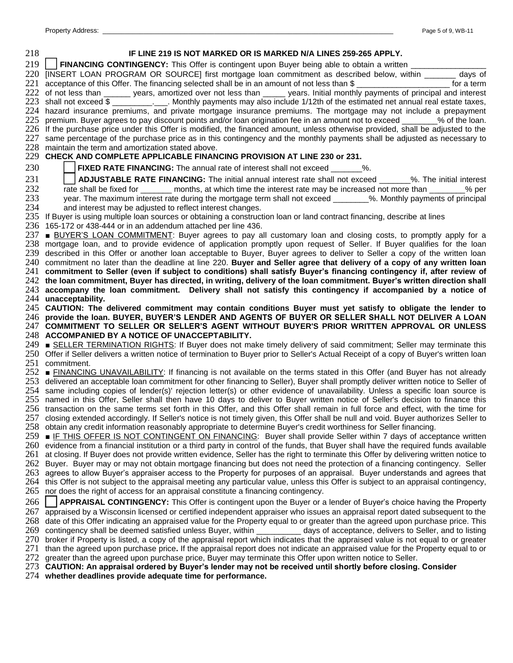| 218 | IF LINE 219 IS NOT MARKED OR IS MARKED N/A LINES 259-265 APPLY.                                                                                                                                                                                                          |
|-----|--------------------------------------------------------------------------------------------------------------------------------------------------------------------------------------------------------------------------------------------------------------------------|
| 219 | FINANCING CONTINGENCY: This Offer is contingent upon Buyer being able to obtain a written _________                                                                                                                                                                      |
|     | 220 [INSERT LOAN PROGRAM OR SOURCE] first mortgage loan commitment as described below, within ______ days of                                                                                                                                                             |
| 221 | acceptance of this Offer. The financing selected shall be in an amount of not less than \$                                                                                                                                                                               |
|     | 222 of not less than _______ years, amortized over not less than _____ years. Initial monthly payments of principal and interest                                                                                                                                         |
|     | 223 shall not exceed \$ _____________. Monthly payments may also include 1/12th of the estimated net annual real estate taxes,                                                                                                                                           |
|     | 224 hazard insurance premiums, and private mortgage insurance premiums. The mortgage may not include a prepayment                                                                                                                                                        |
| 225 | premium. Buyer agrees to pay discount points and/or loan origination fee in an amount not to exceed _______% of the loan.                                                                                                                                                |
| 227 | 226 If the purchase price under this Offer is modified, the financed amount, unless otherwise provided, shall be adjusted to the<br>same percentage of the purchase price as in this contingency and the monthly payments shall be adjusted as necessary to              |
|     | 228 maintain the term and amortization stated above.                                                                                                                                                                                                                     |
|     | 229 CHECK AND COMPLETE APPLICABLE FINANCING PROVISION AT LINE 230 or 231.                                                                                                                                                                                                |
| 230 | <b>FIXED RATE FINANCING:</b> The annual rate of interest shall not exceed _______%.                                                                                                                                                                                      |
| 231 | <b>ADJUSTABLE RATE FINANCING:</b> The initial annual interest rate shall not exceed _______%. The initial interest                                                                                                                                                       |
| 232 | rate shall be fixed for _______ months, at which time the interest rate may be increased not more than _______% per                                                                                                                                                      |
| 233 | year. The maximum interest rate during the mortgage term shall not exceed _______%. Monthly payments of principal                                                                                                                                                        |
| 234 | and interest may be adjusted to reflect interest changes.                                                                                                                                                                                                                |
| 235 | If Buyer is using multiple loan sources or obtaining a construction loan or land contract financing, describe at lines                                                                                                                                                   |
|     | 236 165-172 or 438-444 or in an addendum attached per line 436.                                                                                                                                                                                                          |
| 237 | <b>BUYER'S LOAN COMMITMENT:</b> Buyer agrees to pay all customary loan and closing costs, to promptly apply for a                                                                                                                                                        |
|     | 238 mortgage loan, and to provide evidence of application promptly upon request of Seller. If Buyer qualifies for the loan<br>239 described in this Offer or another loan acceptable to Buyer, Buyer agrees to deliver to Seller a copy of the written loan              |
|     | 240 commitment no later than the deadline at line 220. Buyer and Seller agree that delivery of a copy of any written loan                                                                                                                                                |
|     | 241 commitment to Seller (even if subject to conditions) shall satisfy Buyer's financing contingency if, after review of                                                                                                                                                 |
|     | 242 the loan commitment, Buyer has directed, in writing, delivery of the loan commitment. Buyer's written direction shall                                                                                                                                                |
|     | 243 accompany the loan commitment. Delivery shall not satisfy this contingency if accompanied by a notice of                                                                                                                                                             |
|     | 244 unacceptability.                                                                                                                                                                                                                                                     |
|     | 245 CAUTION: The delivered commitment may contain conditions Buyer must yet satisfy to obligate the lender to                                                                                                                                                            |
|     | 246 provide the loan. BUYER, BUYER'S LENDER AND AGENTS OF BUYER OR SELLER SHALL NOT DELIVER A LOAN                                                                                                                                                                       |
|     | 247 COMMITMENT TO SELLER OR SELLER'S AGENT WITHOUT BUYER'S PRIOR WRITTEN APPROVAL OR UNLESS<br>248 ACCOMPANIED BY A NOTICE OF UNACCEPTABILITY.                                                                                                                           |
|     | 249 ■ SELLER TERMINATION RIGHTS: If Buyer does not make timely delivery of said commitment; Seller may terminate this                                                                                                                                                    |
|     | 250 Offer if Seller delivers a written notice of termination to Buyer prior to Seller's Actual Receipt of a copy of Buyer's written loan                                                                                                                                 |
|     | 251 commitment.                                                                                                                                                                                                                                                          |
|     | 252 <b>■ FINANCING UNAVAILABILITY:</b> If financing is not available on the terms stated in this Offer (and Buyer has not already                                                                                                                                        |
|     | 253 delivered an acceptable loan commitment for other financing to Seller), Buyer shall promptly deliver written notice to Seller of                                                                                                                                     |
|     | 254 same including copies of lender(s)' rejection letter(s) or other evidence of unavailability. Unless a specific loan source is                                                                                                                                        |
|     | 255 named in this Offer, Seller shall then have 10 days to deliver to Buyer written notice of Seller's decision to finance this                                                                                                                                          |
|     | 256 transaction on the same terms set forth in this Offer, and this Offer shall remain in full force and effect, with the time for                                                                                                                                       |
|     | 257 closing extended accordingly. If Seller's notice is not timely given, this Offer shall be null and void. Buyer authorizes Seller to<br>258 obtain any credit information reasonably appropriate to determine Buyer's credit worthiness for Seller financing.         |
|     | 259 <b>■ IF THIS OFFER IS NOT CONTINGENT ON FINANCING:</b> Buyer shall provide Seller within 7 days of acceptance written                                                                                                                                                |
|     | 260 evidence from a financial institution or a third party in control of the funds, that Buyer shall have the required funds available                                                                                                                                   |
|     | 261 at closing. If Buyer does not provide written evidence, Seller has the right to terminate this Offer by delivering written notice to                                                                                                                                 |
|     | 262 Buyer. Buyer may or may not obtain mortgage financing but does not need the protection of a financing contingency. Seller                                                                                                                                            |
|     | 263 agrees to allow Buyer's appraiser access to the Property for purposes of an appraisal. Buyer understands and agrees that                                                                                                                                             |
|     | 264 this Offer is not subject to the appraisal meeting any particular value, unless this Offer is subject to an appraisal contingency,                                                                                                                                   |
|     | 265 nor does the right of access for an appraisal constitute a financing contingency.                                                                                                                                                                                    |
| 266 | APPRAISAL CONTINGENCY: This Offer is contingent upon the Buyer or a lender of Buyer's choice having the Property                                                                                                                                                         |
|     | 267 appraised by a Wisconsin licensed or certified independent appraiser who issues an appraisal report dated subsequent to the                                                                                                                                          |
|     | 268 date of this Offer indicating an appraised value for the Property equal to or greater than the agreed upon purchase price. This<br>269 contingency shall be deemed satisfied unless Buyer, within ___________ days of acceptance, delivers to Seller, and to listing |
|     | 270 broker if Property is listed, a copy of the appraisal report which indicates that the appraised value is not equal to or greater                                                                                                                                     |
|     | 271 than the agreed upon purchase price. If the appraisal report does not indicate an appraised value for the Property equal to or                                                                                                                                       |
| 272 | greater than the agreed upon purchase price, Buyer may terminate this Offer upon written notice to Seller.                                                                                                                                                               |
|     | 273 CAUTION: An appraisal ordered by Buyer's lender may not be received until shortly before closing. Consider                                                                                                                                                           |

**whether deadlines provide adequate time for performance.**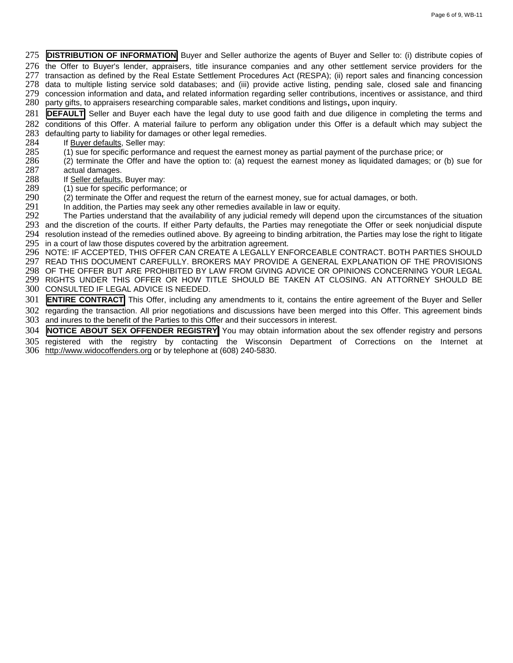**DISTRIBUTION OF INFORMATION** Buyer and Seller authorize the agents of Buyer and Seller to: (i) distribute copies of the Offer to Buyer's lender, appraisers, title insurance companies and any other settlement service providers for the

277 transaction as defined by the Real Estate Settlement Procedures Act (RESPA); (ii) report sales and financing concession data to multiple listing service sold databases; and (iii) provide active listing, pending sale, closed sale and financing

 concession information and data**,** and related information regarding seller contributions, incentives or assistance, and third party gifts, to appraisers researching comparable sales, market conditions and listings**,** upon inquiry.

**DEFAULT** Seller and Buyer each have the legal duty to use good faith and due diligence in completing the terms and

 conditions of this Offer. A material failure to perform any obligation under this Offer is a default which may subject the 283 defaulting party to liability for damages or other legal remedies.<br>284 If Buyer defaults, Seller may:

- 284 If **Buyer defaults**, Seller may:<br>285 (1) sue for specific performan
- 285 (1) sue for specific performance and request the earnest money as partial payment of the purchase price; or<br>286 (2) terminate the Offer and have the option to: (a) request the earnest money as liquidated damages; or
- (2) terminate the Offer and have the option to: (a) request the earnest money as liquidated damages; or (b) sue for
- 287 actual damages.<br>288 If Seller defaults,
- 288 If Seller defaults, Buyer may:<br>289 (1) sue for specific performan
- 289 (1) sue for specific performance; or<br>290 (2) terminate the Offer and request 290 (2) terminate the Offer and request the return of the earnest money, sue for actual damages, or both.<br>291 In addition, the Parties may seek any other remedies available in law or equity.
- 

291 In addition, the Parties may seek any other remedies available in law or equity.<br>292 The Parties understand that the availability of any judicial remedy will depend The Parties understand that the availability of any judicial remedy will depend upon the circumstances of the situation and the discretion of the courts. If either Party defaults, the Parties may renegotiate the Offer or seek nonjudicial dispute resolution instead of the remedies outlined above. By agreeing to binding arbitration, the Parties may lose the right to litigate

295 in a court of law those disputes covered by the arbitration agreement.

 NOTE: IF ACCEPTED, THIS OFFER CAN CREATE A LEGALLY ENFORCEABLE CONTRACT. BOTH PARTIES SHOULD READ THIS DOCUMENT CAREFULLY. BROKERS MAY PROVIDE A GENERAL EXPLANATION OF THE PROVISIONS OF THE OFFER BUT ARE PROHIBITED BY LAW FROM GIVING ADVICE OR OPINIONS CONCERNING YOUR LEGAL RIGHTS UNDER THIS OFFER OR HOW TITLE SHOULD BE TAKEN AT CLOSING. AN ATTORNEY SHOULD BE

CONSULTED IF LEGAL ADVICE IS NEEDED.

**ENTIRE CONTRACT** This Offer, including any amendments to it, contains the entire agreement of the Buyer and Seller

 regarding the transaction. All prior negotiations and discussions have been merged into this Offer. This agreement binds and inures to the benefit of the Parties to this Offer and their successors in interest.

**NOTICE ABOUT SEX OFFENDER REGISTRY** You may obtain information about the sex offender registry and persons

 registered with the registry by contacting the Wisconsin Department of Corrections on the Internet at [http://www.widocoffenders.org](http://www.widocoffenders.org/) or by telephone at (608) 240-5830.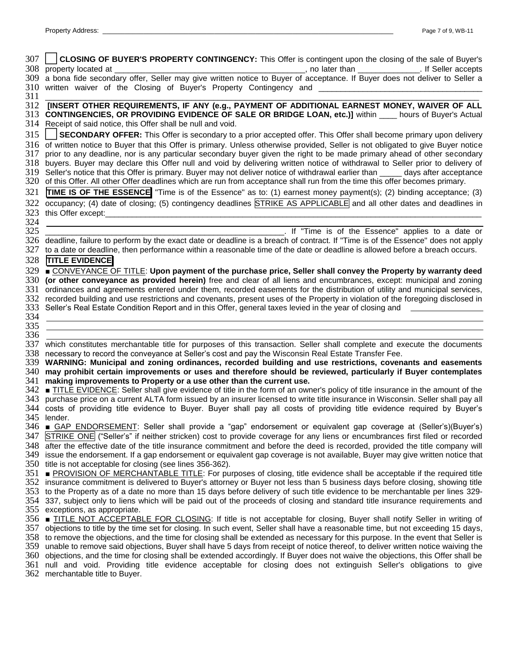| 307        | <b>CLOSING OF BUYER'S PROPERTY CONTINGENCY:</b> This Offer is contingent upon the closing of the sale of Buyer's                                                                                                                                                 |
|------------|------------------------------------------------------------------------------------------------------------------------------------------------------------------------------------------------------------------------------------------------------------------|
|            | 308 property located at<br>., no later than _______________. If Seller accepts                                                                                                                                                                                   |
|            | 309 a bona fide secondary offer, Seller may give written notice to Buyer of acceptance. If Buyer does not deliver to Seller a                                                                                                                                    |
|            | 310 written waiver of the Closing of Buyer's Property Contingency and                                                                                                                                                                                            |
| 311        |                                                                                                                                                                                                                                                                  |
| 312        | [INSERT OTHER REQUIREMENTS, IF ANY (e.g., PAYMENT OF ADDITIONAL EARNEST MONEY, WAIVER OF ALL                                                                                                                                                                     |
|            | 313 CONTINGENCIES, OR PROVIDING EVIDENCE OF SALE OR BRIDGE LOAN, etc.)] within ____ hours of Buyer's Actual                                                                                                                                                      |
|            | 314 Receipt of said notice, this Offer shall be null and void.                                                                                                                                                                                                   |
| 315        | SECONDARY OFFER: This Offer is secondary to a prior accepted offer. This Offer shall become primary upon delivery                                                                                                                                                |
|            | 316 of written notice to Buyer that this Offer is primary. Unless otherwise provided, Seller is not obligated to give Buyer notice                                                                                                                               |
| 317        | prior to any deadline, nor is any particular secondary buyer given the right to be made primary ahead of other secondary                                                                                                                                         |
| 318        | buyers. Buyer may declare this Offer null and void by delivering written notice of withdrawal to Seller prior to delivery of                                                                                                                                     |
| 319        | Seller's notice that this Offer is primary. Buyer may not deliver notice of withdrawal earlier than ______ days after acceptance                                                                                                                                 |
|            | 320 of this Offer. All other Offer deadlines which are run from acceptance shall run from the time this offer becomes primary.                                                                                                                                   |
| 321        | TIME IS OF THE ESSENCE "Time is of the Essence" as to: (1) earnest money payment(s); (2) binding acceptance; (3)                                                                                                                                                 |
| 322        | occupancy; (4) date of closing; (5) contingency deadlines STRIKE AS APPLICABLE and all other dates and deadlines in                                                                                                                                              |
| 323        | this Offer except:                                                                                                                                                                                                                                               |
| 324        |                                                                                                                                                                                                                                                                  |
| 325        | If "Time is of the Essence" applies to a date or                                                                                                                                                                                                                 |
|            | 326 deadline, failure to perform by the exact date or deadline is a breach of contract. If "Time is of the Essence" does not apply                                                                                                                               |
| 327        | to a date or deadline, then performance within a reasonable time of the date or deadline is allowed before a breach occurs.                                                                                                                                      |
| 328        | <b>TITLE EVIDENCE</b>                                                                                                                                                                                                                                            |
| 329        | ■ CONVEYANCE OF TITLE: Upon payment of the purchase price, Seller shall convey the Property by warranty deed                                                                                                                                                     |
| 330        | (or other conveyance as provided herein) free and clear of all liens and encumbrances, except: municipal and zoning                                                                                                                                              |
| 331        | ordinances and agreements entered under them, recorded easements for the distribution of utility and municipal services,                                                                                                                                         |
|            | 332 recorded building and use restrictions and covenants, present uses of the Property in violation of the foregoing disclosed in                                                                                                                                |
| 333        | Seller's Real Estate Condition Report and in this Offer, general taxes levied in the year of closing and                                                                                                                                                         |
| 334        |                                                                                                                                                                                                                                                                  |
| 335<br>336 |                                                                                                                                                                                                                                                                  |
| 337        | which constitutes merchantable title for purposes of this transaction. Seller shall complete and execute the documents                                                                                                                                           |
|            | 338 necessary to record the conveyance at Seller's cost and pay the Wisconsin Real Estate Transfer Fee.                                                                                                                                                          |
|            | 339 WARNING: Municipal and zoning ordinances, recorded building and use restrictions, covenants and easements                                                                                                                                                    |
| 340        | may prohibit certain improvements or uses and therefore should be reviewed, particularly if Buyer contemplates                                                                                                                                                   |
| 341        | making improvements to Property or a use other than the current use.                                                                                                                                                                                             |
| 342        | TITLE EVIDENCE: Seller shall give evidence of title in the form of an owner's policy of title insurance in the amount of the                                                                                                                                     |
| 343        | purchase price on a current ALTA form issued by an insurer licensed to write title insurance in Wisconsin. Seller shall pay all                                                                                                                                  |
| 344        | costs of providing title evidence to Buyer. Buyer shall pay all costs of providing title evidence required by Buyer's                                                                                                                                            |
|            | 345 lender.                                                                                                                                                                                                                                                      |
|            | 346 <b>■ GAP ENDORSEMENT</b> : Seller shall provide a "gap" endorsement or equivalent gap coverage at (Seller's)(Buyer's)                                                                                                                                        |
|            | 347 STRIKE ONE ("Seller's" if neither stricken) cost to provide coverage for any liens or encumbrances first filed or recorded                                                                                                                                   |
|            | 348 after the effective date of the title insurance commitment and before the deed is recorded, provided the title company will                                                                                                                                  |
|            | 349 issue the endorsement. If a gap endorsement or equivalent gap coverage is not available, Buyer may give written notice that                                                                                                                                  |
|            | 350 title is not acceptable for closing (see lines 356-362).                                                                                                                                                                                                     |
|            | 351 <b>■ PROVISION OF MERCHANTABLE TITLE:</b> For purposes of closing, title evidence shall be acceptable if the required title                                                                                                                                  |
|            | 352 insurance commitment is delivered to Buyer's attorney or Buyer not less than 5 business days before closing, showing title                                                                                                                                   |
|            | 353 to the Property as of a date no more than 15 days before delivery of such title evidence to be merchantable per lines 329-<br>354 337, subject only to liens which will be paid out of the proceeds of closing and standard title insurance requirements and |
|            | 355 exceptions, as appropriate.                                                                                                                                                                                                                                  |
|            | 356 <b>■ TITLE NOT ACCEPTABLE FOR CLOSING</b> : If title is not acceptable for closing, Buyer shall notify Seller in writing of                                                                                                                                  |
|            | 357 objections to title by the time set for closing. In such event, Seller shall have a reasonable time, but not exceeding 15 days,                                                                                                                              |
|            | 358 to remove the objections, and the time for closing shall be extended as necessary for this purpose. In the event that Seller is                                                                                                                              |
|            | 359 unable to remove said objections, Buyer shall have 5 days from receipt of notice thereof, to deliver written notice waiving the                                                                                                                              |
|            |                                                                                                                                                                                                                                                                  |
|            | 360 objections, and the time for closing shall be extended accordingly. If Buyer does not waive the objections, this Offer shall be                                                                                                                              |
|            | 361 null and void. Providing title evidence acceptable for closing does not extinguish Seller's obligations to give<br>362 merchantable title to Buyer.                                                                                                          |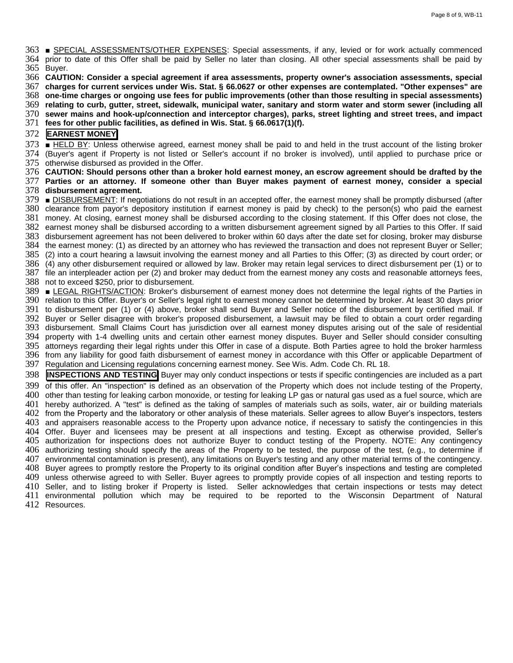■ SPECIAL ASSESSMENTS/OTHER EXPENSES: Special assessments, if any, levied or for work actually commenced prior to date of this Offer shall be paid by Seller no later than closing. All other special assessments shall be paid by Buyer.

**CAUTION: Consider a special agreement if area assessments, property owner's association assessments, special** 

**charges for current services under Wis. Stat. § 66.0627 or other expenses are contemplated. "Other expenses" are** 

**one-time charges or ongoing use fees for public improvements (other than those resulting in special assessments)** 

**relating to curb, gutter, street, sidewalk, municipal water, sanitary and storm water and storm sewer (including all** 

**sewer mains and hook-up/connection and interceptor charges), parks, street lighting and street trees, and impact** 

**fees for other public facilities, as defined in Wis. Stat. § 66.0617(1)(f).**

## **EARNEST MONEY**

 ■ HELD BY: Unless otherwise agreed, earnest money shall be paid to and held in the trust account of the listing broker (Buyer's agent if Property is not listed or Seller's account if no broker is involved), until applied to purchase price or otherwise disbursed as provided in the Offer.

 **CAUTION: Should persons other than a broker hold earnest money, an escrow agreement should be drafted by the Parties or an attorney. If someone other than Buyer makes payment of earnest money, consider a special disbursement agreement.**

 ■ DISBURSEMENT: If negotiations do not result in an accepted offer, the earnest money shall be promptly disbursed (after clearance from payor's depository institution if earnest money is paid by check) to the person(s) who paid the earnest money. At closing, earnest money shall be disbursed according to the closing statement. If this Offer does not close, the earnest money shall be disbursed according to a written disbursement agreement signed by all Parties to this Offer. If said disbursement agreement has not been delivered to broker within 60 days after the date set for closing, broker may disburse the earnest money: (1) as directed by an attorney who has reviewed the transaction and does not represent Buyer or Seller; (2) into a court hearing a lawsuit involving the earnest money and all Parties to this Offer; (3) as directed by court order; or (4) any other disbursement required or allowed by law. Broker may retain legal services to direct disbursement per (1) or to file an interpleader action per (2) and broker may deduct from the earnest money any costs and reasonable attorneys fees, not to exceed \$250, prior to disbursement. ■ LEGAL RIGHTS/ACTION: Broker's disbursement of earnest money does not determine the legal rights of the Parties in

 relation to this Offer. Buyer's or Seller's legal right to earnest money cannot be determined by broker. At least 30 days prior to disbursement per (1) or (4) above, broker shall send Buyer and Seller notice of the disbursement by certified mail. If Buyer or Seller disagree with broker's proposed disbursement, a lawsuit may be filed to obtain a court order regarding disbursement. Small Claims Court has jurisdiction over all earnest money disputes arising out of the sale of residential property with 1-4 dwelling units and certain other earnest money disputes. Buyer and Seller should consider consulting attorneys regarding their legal rights under this Offer in case of a dispute. Both Parties agree to hold the broker harmless from any liability for good faith disbursement of earnest money in accordance with this Offer or applicable Department of Regulation and Licensing regulations concerning earnest money. See Wis. Adm. Code Ch. RL 18.

 **INSPECTIONS AND TESTING** Buyer may only conduct inspections or tests if specific contingencies are included as a part of this offer. An "inspection" is defined as an observation of the Property which does not include testing of the Property, other than testing for leaking carbon monoxide, or testing for leaking LP gas or natural gas used as a fuel source, which are hereby authorized. A "test" is defined as the taking of samples of materials such as soils, water, air or building materials from the Property and the laboratory or other analysis of these materials. Seller agrees to allow Buyer's inspectors, testers and appraisers reasonable access to the Property upon advance notice, if necessary to satisfy the contingencies in this Offer. Buyer and licensees may be present at all inspections and testing. Except as otherwise provided, Seller's authorization for inspections does not authorize Buyer to conduct testing of the Property. NOTE: Any contingency authorizing testing should specify the areas of the Property to be tested, the purpose of the test, (e.g., to determine if environmental contamination is present), any limitations on Buyer's testing and any other material terms of the contingency. Buyer agrees to promptly restore the Property to its original condition after Buyer's inspections and testing are completed unless otherwise agreed to with Seller. Buyer agrees to promptly provide copies of all inspection and testing reports to Seller, and to listing broker if Property is listed. Seller acknowledges that certain inspections or tests may detect environmental pollution which may be required to be reported to the Wisconsin Department of Natural

Resources.